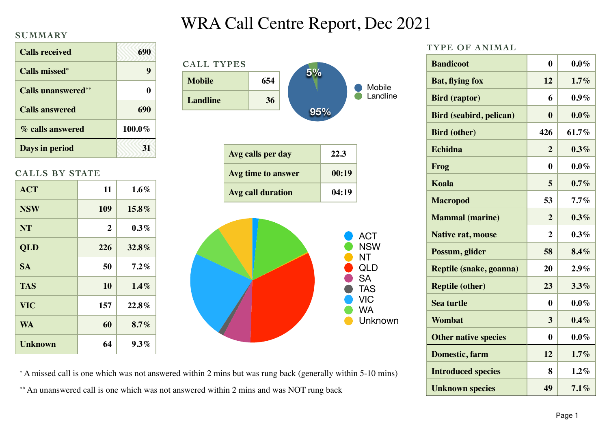#### **SUMMARY**

| <b>Calls received</b>      | 690    |
|----------------------------|--------|
| <b>Calls missed*</b>       | q      |
| <b>Calls unanswered</b> ** | O      |
| <b>Calls answered</b>      | 690    |
| % calls answered           | 100.0% |
| Days in period             | 31     |

### **CALLS BY STATE**

| <b>ACT</b>     | 11             | $1.6\%$  |
|----------------|----------------|----------|
| <b>NSW</b>     | 109            | $15.8\%$ |
| <b>NT</b>      | $\overline{2}$ | $0.3\%$  |
| <b>QLD</b>     | 226            | 32.8%    |
| <b>SA</b>      | 50             | $7.2\%$  |
| <b>TAS</b>     | 10             | $1.4\%$  |
| <b>VIC</b>     | 157            | 22.8%    |
| <b>WA</b>      | 60             | 8.7%     |
| <b>Unknown</b> | 64             | $9.3\%$  |

# WRA Call Centre Report, Dec 2021



**TYPE OF ANIMAL**

| <b>Bandicoot</b>               | 0              | $0.0\%$ |
|--------------------------------|----------------|---------|
| <b>Bat, flying fox</b>         | 12             | 1.7%    |
| <b>Bird (raptor)</b>           | 6              | $0.9\%$ |
| <b>Bird (seabird, pelican)</b> | $\mathbf{0}$   | $0.0\%$ |
| <b>Bird (other)</b>            | 426            | 61.7%   |
| Echidna                        | $\overline{2}$ | $0.3\%$ |
| Frog                           | $\bf{0}$       | $0.0\%$ |
| Koala                          | 5              | $0.7\%$ |
| <b>Macropod</b>                | 53             | $7.7\%$ |
| <b>Mammal</b> (marine)         | $\overline{2}$ | $0.3\%$ |
| <b>Native rat, mouse</b>       | $\overline{2}$ | $0.3\%$ |
| Possum, glider                 | 58             | 8.4%    |
| Reptile (snake, goanna)        | 20             | 2.9%    |
| <b>Reptile (other)</b>         | 23             | 3.3%    |
| <b>Sea turtle</b>              | $\bf{0}$       | $0.0\%$ |
| Wombat                         | 3              | $0.4\%$ |
| <b>Other native species</b>    | $\bf{0}$       | $0.0\%$ |
| Domestic, farm                 | 12             | 1.7%    |
| <b>Introduced species</b>      | 8              | $1.2\%$ |
| <b>Unknown species</b>         | 49             | $7.1\%$ |

\* A missed call is one which was not answered within 2 mins but was rung back (generally within 5-10 mins) \*\* An unanswered call is one which was not answered within 2 mins and was NOT rung back